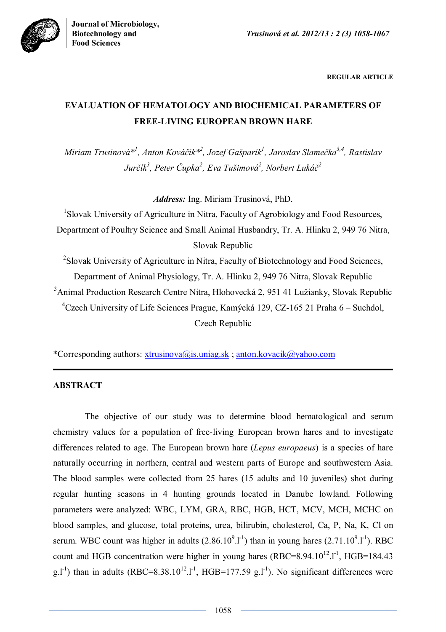

**REGULAR ARTICLE**

# **EVALUATION OF HEMATOLOGY AND BIOCHEMICAL PARAMETERS OF FREE-LIVING EUROPEAN BROWN HARE**

*Miriam Trusinová\* 1 , Anton Kováčik\* 2 , Jozef Gašparík<sup>1</sup> , Jaroslav Slamečka3,4, Rastislav Jurčík<sup>3</sup> , Peter Čupka<sup>2</sup> , Eva Tušimová<sup>2</sup> , Norbert Lukáč<sup>2</sup>*

*Address:* Ing. Miriam Trusinová, PhD.

<sup>1</sup>Slovak University of Agriculture in Nitra, Faculty of Agrobiology and Food Resources, Department of Poultry Science and Small Animal Husbandry, Tr. A. Hlinku 2, 949 76 Nitra, Slovak Republic

<sup>2</sup>Slovak University of Agriculture in Nitra, Faculty of Biotechnology and Food Sciences, Department of Animal Physiology, Tr. A. Hlinku 2, 949 76 Nitra, Slovak Republic <sup>3</sup>Animal Production Research Centre Nitra, Hlohovecká 2, 951 41 Lužianky, Slovak Republic <sup>4</sup>Czech University of Life Sciences Prague, Kamýcká 129, CZ-165 21 Praha 6 – Suchdol, Czech Republic

\*Corresponding authors: xtrusinova@is.uniag.sk ; anton.kovacik@yahoo.com

## **ABSTRACT**

The objective of our study was to determine blood hematological and serum chemistry values for a population of free-living European brown hares and to investigate differences related to age. The European brown hare (*Lepus europaeus*) is a species of hare naturally occurring in northern, central and western parts of Europe and southwestern Asia. The blood samples were collected from 25 hares (15 adults and 10 juveniles) shot during regular hunting seasons in 4 hunting grounds located in Danube lowland. Following parameters were analyzed: WBC, LYM, GRA, RBC, HGB, HCT, MCV, MCH, MCHC on blood samples, and glucose, total proteins, urea, bilirubin, cholesterol, Ca, P, Na, K, Cl on serum. WBC count was higher in adults  $(2.86.10^9.1^1)$  than in young hares  $(2.71.10^9.1^1)$ . RBC count and HGB concentration were higher in young hares  $(RBC=8.94.10^{12}.1^{-1}, HGB=184.43$ g.l<sup>-1</sup>) than in adults (RBC=8.38.10<sup>12</sup>.l<sup>-1</sup>, HGB=177.59 g.l<sup>-1</sup>). No significant differences were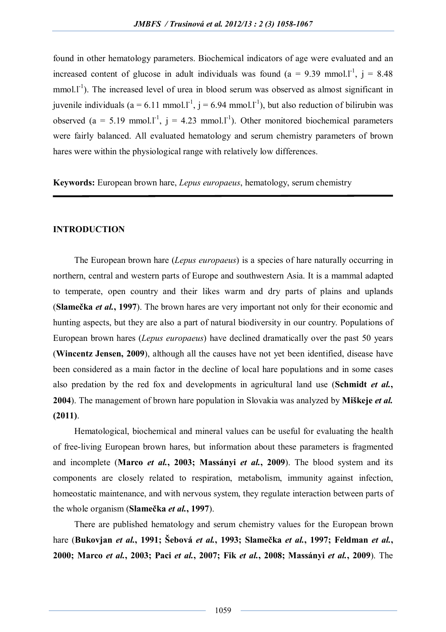found in other hematology parameters. Biochemical indicators of age were evaluated and an increased content of glucose in adult individuals was found ( $a = 9.39$  mmol.<sup>1-1</sup>,  $j = 8.48$ )  $mmol.1<sup>-1</sup>$ ). The increased level of urea in blood serum was observed as almost significant in juvenile individuals (a = 6.11 mmol.l<sup>-1</sup>, j = 6.94 mmol.l<sup>-1</sup>), but also reduction of bilirubin was observed (a = 5.19 mmol.1<sup>-1</sup>, j = 4.23 mmol.1<sup>-1</sup>). Other monitored biochemical parameters were fairly balanced. All evaluated hematology and serum chemistry parameters of brown hares were within the physiological range with relatively low differences.

**Keywords:** European brown hare, *Lepus europaeus*, hematology, serum chemistry

#### **INTRODUCTION**

The European brown hare (*Lepus europaeus*) is a species of hare naturally occurring in northern, central and western parts of Europe and southwestern Asia. It is a mammal adapted to temperate, open country and their likes warm and dry parts of plains and uplands (**Slamečka** *et al.***, 1997**). The brown hares are very important not only for their economic and hunting aspects, but they are also a part of natural biodiversity in our country. Populations of European brown hares (*Lepus europaeus*) have declined dramatically over the past 50 years (**Wincentz Jensen, 2009**), although all the causes have not yet been identified, disease have been considered as a main factor in the decline of local hare populations and in some cases also predation by the red fox and developments in agricultural land use (**Schmidt** *et al.***, 2004**). The management of brown hare population in Slovakia was analyzed by **Miškeje** *et al.* **(2011)**.

Hematological, biochemical and mineral values can be useful for evaluating the health of free-living European brown hares, but information about these parameters is fragmented and incomplete (**Marco** *et al.***, 2003; Massányi** *et al.***, 2009**). The blood system and its components are closely related to respiration, metabolism, immunity against infection, homeostatic maintenance, and with nervous system, they regulate interaction between parts of the whole organism (**Slamečka** *et al.***, 1997**).

There are published hematology and serum chemistry values for the European brown hare (**Bukovjan** *et al.***, 1991; Šebová** *et al.***, 1993; Slamečka** *et al.***, 1997; Feldman** *et al.***, 2000; Marco** *et al.***, 2003; Paci** *et al.***, 2007; Fik** *et al.***, 2008; Massányi** *et al.***, 2009**). The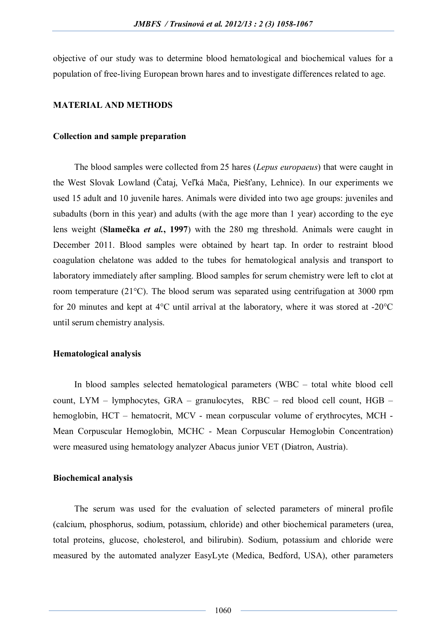objective of our study was to determine blood hematological and biochemical values for a population of free-living European brown hares and to investigate differences related to age.

## **MATERIAL AND METHODS**

#### **Collection and sample preparation**

The blood samples were collected from 25 hares (*Lepus europaeus*) that were caught in the West Slovak Lowland (Čataj, Veľká Mača, Piešťany, Lehnice). In our experiments we used 15 adult and 10 juvenile hares. Animals were divided into two age groups: juveniles and subadults (born in this year) and adults (with the age more than 1 year) according to the eye lens weight (**Slamečka** *et al.***, 1997**) with the 280 mg threshold. Animals were caught in December 2011. Blood samples were obtained by heart tap. In order to restraint blood coagulation chelatone was added to the tubes for hematological analysis and transport to laboratory immediately after sampling. Blood samples for serum chemistry were left to clot at room temperature (21°C). The blood serum was separated using centrifugation at 3000 rpm for 20 minutes and kept at 4°C until arrival at the laboratory, where it was stored at -20°C until serum chemistry analysis.

## **Hematological analysis**

In blood samples selected hematological parameters (WBC – total white blood cell count, LYM – lymphocytes, GRA – granulocytes, RBC – red blood cell count, HGB – hemoglobin, HCT – hematocrit, MCV - mean corpuscular volume of erythrocytes, MCH - Mean Corpuscular Hemoglobin, MCHC - Mean Corpuscular Hemoglobin Concentration) were measured using hematology analyzer Abacus junior VET (Diatron, Austria).

## **Biochemical analysis**

The serum was used for the evaluation of selected parameters of mineral profile (calcium, phosphorus, sodium, potassium, chloride) and other biochemical parameters (urea, total proteins, glucose, cholesterol, and bilirubin). Sodium, potassium and chloride were measured by the automated analyzer EasyLyte (Medica, Bedford, USA), other parameters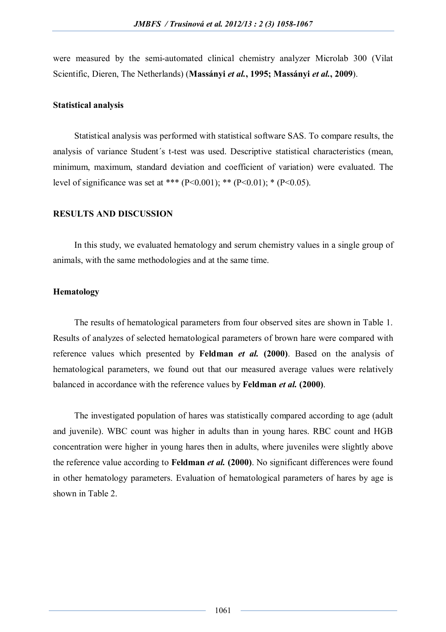were measured by the semi-automated clinical chemistry analyzer Microlab 300 (Vilat Scientific, Dieren, The Netherlands) (**Massányi** *et al.***, 1995; Massányi** *et al.***, 2009**).

#### **Statistical analysis**

Statistical analysis was performed with statistical software SAS. To compare results, the analysis of variance Student´s t-test was used. Descriptive statistical characteristics (mean, minimum, maximum, standard deviation and coefficient of variation) were evaluated. The level of significance was set at \*\*\* (P<0.001); \*\* (P<0.01); \* (P<0.05).

## **RESULTS AND DISCUSSION**

In this study, we evaluated hematology and serum chemistry values in a single group of animals, with the same methodologies and at the same time.

## **Hematology**

The results of hematological parameters from four observed sites are shown in Table 1. Results of analyzes of selected hematological parameters of brown hare were compared with reference values which presented by **Feldman** *et al.* **(2000)**. Based on the analysis of hematological parameters, we found out that our measured average values were relatively balanced in accordance with the reference values by **Feldman** *et al.* **(2000)**.

The investigated population of hares was statistically compared according to age (adult and juvenile). WBC count was higher in adults than in young hares. RBC count and HGB concentration were higher in young hares then in adults, where juveniles were slightly above the reference value according to **Feldman** *et al.* **(2000)**. No significant differences were found in other hematology parameters. Evaluation of hematological parameters of hares by age is shown in Table 2.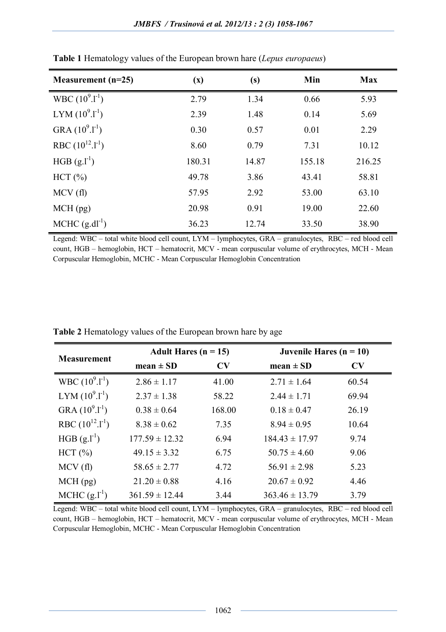| Measurement $(n=25)$       | (x)    | (s)   | Min    | <b>Max</b> |
|----------------------------|--------|-------|--------|------------|
| WBC $(10^9.1^{\text{-}1})$ | 2.79   | 1.34  | 0.66   | 5.93       |
| LYM $(10^9.1^1)$           | 2.39   | 1.48  | 0.14   | 5.69       |
| GRA $(10^9.1^{-1})$        | 0.30   | 0.57  | 0.01   | 2.29       |
| RBC $(10^{12}.1^{1})$      | 8.60   | 0.79  | 7.31   | 10.12      |
| HGB $(g.l^{-1})$           | 180.31 | 14.87 | 155.18 | 216.25     |
| HCT (%)                    | 49.78  | 3.86  | 43.41  | 58.81      |
| MCV(f)                     | 57.95  | 2.92  | 53.00  | 63.10      |
| $MCH$ (pg)                 | 20.98  | 0.91  | 19.00  | 22.60      |
| MCHC $(g.dl^{-1})$         | 36.23  | 12.74 | 33.50  | 38.90      |

**Table 1** Hematology values of the European brown hare (*Lepus europaeus*)

Legend: WBC – total white blood cell count, LYM – lymphocytes, GRA – granulocytes, RBC – red blood cell count, HGB – hemoglobin, HCT – hematocrit, MCV - mean corpuscular volume of erythrocytes, MCH - Mean Corpuscular Hemoglobin, MCHC - Mean Corpuscular Hemoglobin Concentration

|                            | Adult Hares $(n = 15)$ |        | Juvenile Hares $(n = 10)$ |       |  |
|----------------------------|------------------------|--------|---------------------------|-------|--|
| <b>Measurement</b>         | $mean \pm SD$          | CV     | $mean \pm SD$             | CV    |  |
| WBC $(10^9.1^{\text{-}1})$ | $2.86 \pm 1.17$        | 41.00  | $2.71 \pm 1.64$           | 60.54 |  |
| LYM $(10^9.1^1)$           | $2.37 \pm 1.38$        | 58.22  | $2.44 \pm 1.71$           | 69.94 |  |
| GRA $(10^9.1^1)$           | $0.38 \pm 0.64$        | 168.00 | $0.18 \pm 0.47$           | 26.19 |  |
| RBC $(10^{12}.1^{1})$      | $8.38 \pm 0.62$        | 7.35   | $8.94 \pm 0.95$           | 10.64 |  |
| HGB $(g.l-1)$              | $177.59 \pm 12.32$     | 6.94   | $184.43 \pm 17.97$        | 9.74  |  |
| $HCT$ $(\% )$              | $49.15 \pm 3.32$       | 6.75   | $50.75 \pm 4.60$          | 9.06  |  |
| MCV(f)                     | $58.65 \pm 2.77$       | 4.72   | $56.91 \pm 2.98$          | 5.23  |  |
| $MCH$ (pg)                 | $21.20 \pm 0.88$       | 4.16   | $20.67 \pm 0.92$          | 4.46  |  |
| MCHC $(g.l-1)$             | $361.59 \pm 12.44$     | 3.44   | $363.46 \pm 13.79$        | 3.79  |  |

**Table 2** Hematology values of the European brown hare by age

Legend: WBC – total white blood cell count, LYM – lymphocytes, GRA – granulocytes, RBC – red blood cell count, HGB – hemoglobin, HCT – hematocrit, MCV - mean corpuscular volume of erythrocytes, MCH - Mean Corpuscular Hemoglobin, MCHC - Mean Corpuscular Hemoglobin Concentration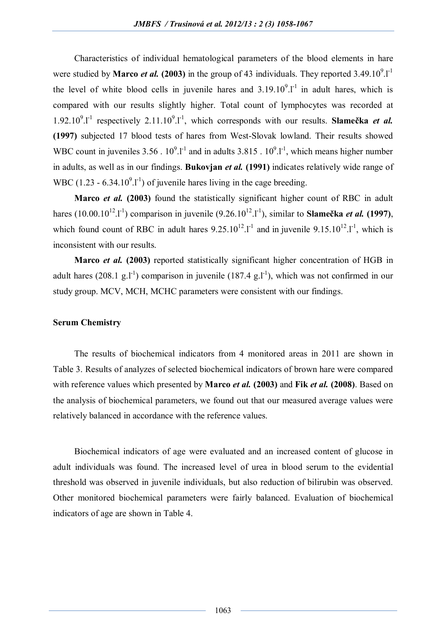Characteristics of individual hematological parameters of the blood elements in hare were studied by **Marco** *et al.* (2003) in the group of 43 individuals. They reported  $3.49.10^9$ .1<sup>-1</sup> the level of white blood cells in juvenile hares and  $3.19.10<sup>9</sup>$ . I<sup>-1</sup> in adult hares, which is compared with our results slightly higher. Total count of lymphocytes was recorded at 1.92.10<sup>9</sup>.1<sup>-1</sup> respectively 2.11.10<sup>9</sup>.1<sup>-1</sup>, which corresponds with our results. Slamečka *et al.* **(1997)** subjected 17 blood tests of hares from West-Slovak lowland. Their results showed WBC count in juveniles  $3.56 \cdot 10^{9}$ . I<sup>-1</sup> and in adults  $3.815 \cdot 10^{9}$ . I<sup>-1</sup>, which means higher number in adults, as well as in our findings. **Bukovjan** *et al.* **(1991)** indicates relatively wide range of WBC  $(1.23 - 6.34.10<sup>9</sup>.1<sup>-1</sup>)$  of juvenile hares living in the cage breeding.

**Marco** *et al.* **(2003)** found the statistically significant higher count of RBC in adult hares (10.00.10<sup>12</sup>.l<sup>-1</sup>) comparison in juvenile (9.26.10<sup>12</sup>.l<sup>-1</sup>), similar to **Slamečka** *et al.* (1997), which found count of RBC in adult hares  $9.25 \cdot 10^{12}$ . I<sup>-1</sup> and in juvenile  $9.15 \cdot 10^{12}$ . I<sup>-1</sup>, which is inconsistent with our results.

**Marco** *et al.* **(2003)** reported statistically significant higher concentration of HGB in adult hares  $(208.1 \text{ g.} l^{-1})$  comparison in juvenile  $(187.4 \text{ g.} l^{-1})$ , which was not confirmed in our study group. MCV, MCH, MCHC parameters were consistent with our findings.

## **Serum Chemistry**

The results of biochemical indicators from 4 monitored areas in 2011 are shown in Table 3. Results of analyzes of selected biochemical indicators of brown hare were compared with reference values which presented by **Marco** *et al.* **(2003)** and **Fik** *et al.* **(2008)**. Based on the analysis of biochemical parameters, we found out that our measured average values were relatively balanced in accordance with the reference values.

Biochemical indicators of age were evaluated and an increased content of glucose in adult individuals was found. The increased level of urea in blood serum to the evidential threshold was observed in juvenile individuals, but also reduction of bilirubin was observed. Other monitored biochemical parameters were fairly balanced. Evaluation of biochemical indicators of age are shown in Table 4.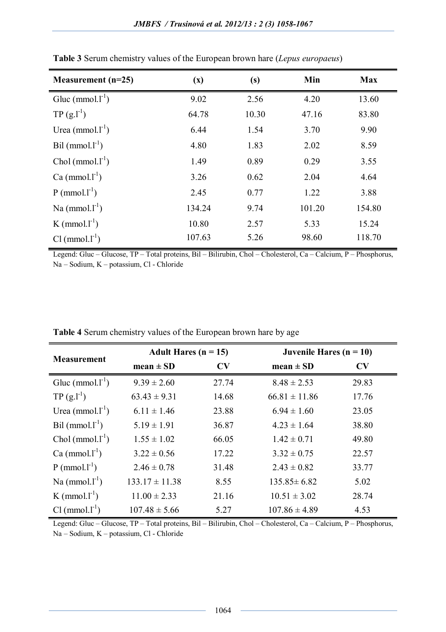| Measurement $(n=25)$        | (x)    | (s)   | Min    | <b>Max</b> |
|-----------------------------|--------|-------|--------|------------|
| Glue (mmol. $l^{-1}$ )      | 9.02   | 2.56  | 4.20   | 13.60      |
| $TP(g.l^{-1})$              | 64.78  | 10.30 | 47.16  | 83.80      |
| Urea (mmol. $l^{-1}$ )      | 6.44   | 1.54  | 3.70   | 9.90       |
| Bil $(mmol.1^{-1})$         | 4.80   | 1.83  | 2.02   | 8.59       |
| Chol $(mmol.1^{-1})$        | 1.49   | 0.89  | 0.29   | 3.55       |
| Ca $(mmol.1^{-1})$          | 3.26   | 0.62  | 2.04   | 4.64       |
| $P$ (mmol.l <sup>-1</sup> ) | 2.45   | 0.77  | 1.22   | 3.88       |
| Na $(mmol.1^{-1})$          | 134.24 | 9.74  | 101.20 | 154.80     |
| K (mmol. $l^{-1}$ )         | 10.80  | 2.57  | 5.33   | 15.24      |
| $Cl (mmol. l-1)$            | 107.63 | 5.26  | 98.60  | 118.70     |

| Table 3 Serum chemistry values of the European brown hare (Lepus europaeus) |  |  |  |  |  |  |  |  |  |  |  |
|-----------------------------------------------------------------------------|--|--|--|--|--|--|--|--|--|--|--|
|-----------------------------------------------------------------------------|--|--|--|--|--|--|--|--|--|--|--|

Legend: Gluc – Glucose, TP – Total proteins, Bil – Bilirubin, Chol – Cholesterol, Ca – Calcium, P – Phosphorus, Na – Sodium, K – potassium, Cl - Chloride

|                                      | Adult Hares $(n = 15)$ |                        | Juvenile Hares $(n = 10)$ |       |  |
|--------------------------------------|------------------------|------------------------|---------------------------|-------|--|
| <b>Measurement</b>                   | $mean \pm SD$          | $\mathbf{C}\mathbf{V}$ | $mean \pm SD$             | CV    |  |
| Gluc (mmol. $l^{-1}$ )               | $9.39 \pm 2.60$        | 27.74                  | $8.48 \pm 2.53$           | 29.83 |  |
| $TP(g.l-1)$                          | $63.43 \pm 9.31$       | 14.68                  | $66.81 \pm 11.86$         | 17.76 |  |
| Urea (mmol. $l^{-1}$ )               | $6.11 \pm 1.46$        | 23.88                  | $6.94 \pm 1.60$           | 23.05 |  |
| $\text{Bil}$ (mmol.l <sup>-1</sup> ) | $5.19 \pm 1.91$        | 36.87                  | $4.23 \pm 1.64$           | 38.80 |  |
| Chol (mmol. $l^{-1}$ )               | $1.55 \pm 1.02$        | 66.05                  | $1.42 \pm 0.71$           | 49.80 |  |
| Ca $(mmol.1^{-1})$                   | $3.22 \pm 0.56$        | 17.22                  | $3.32 \pm 0.75$           | 22.57 |  |
| $P$ (mmol.1 <sup>-1</sup> )          | $2.46 \pm 0.78$        | 31.48                  | $2.43 \pm 0.82$           | 33.77 |  |
| Na $(mmol.1^{-1})$                   | $133.17 \pm 11.38$     | 8.55                   | $135.85 \pm 6.82$         | 5.02  |  |
| K (mmol. $l^{-1}$ )                  | $11.00 \pm 2.33$       | 21.16                  | $10.51 \pm 3.02$          | 28.74 |  |
| $Cl (mmol.1-1)$                      | $107.48 \pm 5.66$      | 5.27                   | $107.86 \pm 4.89$         | 4.53  |  |

|  |  |  |  | Table 4 Serum chemistry values of the European brown hare by age |
|--|--|--|--|------------------------------------------------------------------|
|--|--|--|--|------------------------------------------------------------------|

Legend: Gluc – Glucose, TP – Total proteins, Bil – Bilirubin, Chol – Cholesterol, Ca – Calcium, P – Phosphorus, Na – Sodium, K – potassium, Cl - Chloride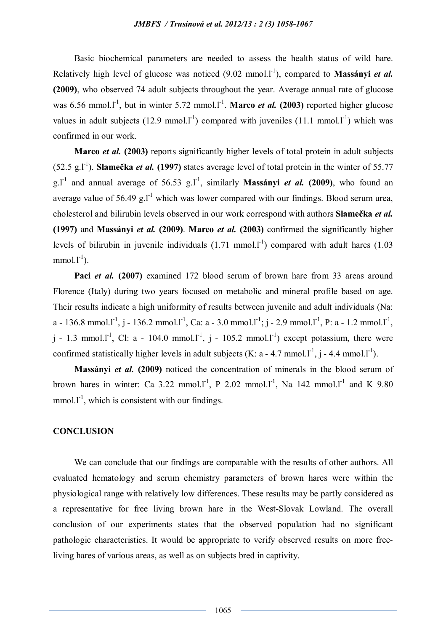Basic biochemical parameters are needed to assess the health status of wild hare. Relatively high level of glucose was noticed (9.02 mmol.<sup>1-1</sup>), compared to Massányi *et al.* **(2009)**, who observed 74 adult subjects throughout the year. Average annual rate of glucose was 6.56 mmol.<sup>1-1</sup>, but in winter 5.72 mmol.1<sup>-1</sup>. **Marco** *et al.* (2003) reported higher glucose values in adult subjects (12.9 mmol.  $I<sup>-1</sup>$ ) compared with juveniles (11.1 mmol.  $I<sup>-1</sup>$ ) which was confirmed in our work.

**Marco** *et al.* **(2003)** reports significantly higher levels of total protein in adult subjects  $(52.5 \text{ g.} l^{\text{-1}})$ . **Slamečka** *et al.* (1997) states average level of total protein in the winter of 55.77  $g.l<sup>-1</sup>$  and annual average of 56.53  $g.l<sup>-1</sup>$ , similarly **Massányi** *et al.* (2009), who found an average value of 56.49 g.l<sup>-1</sup> which was lower compared with our findings. Blood serum urea, cholesterol and bilirubin levels observed in our work correspond with authors **Slamečka** *et al.* **(1997)** and **Massányi** *et al.* **(2009)**. **Marco** *et al.* **(2003)** confirmed the significantly higher levels of bilirubin in juvenile individuals  $(1.71 \text{ mmol.} l^{-1})$  compared with adult hares  $(1.03 \text{ mmol.} l^{-1})$  $mmol.1^{-1}$ ).

Paci *et al.* (2007) examined 172 blood serum of brown hare from 33 areas around Florence (Italy) during two years focused on metabolic and mineral profile based on age. Their results indicate a high uniformity of results between juvenile and adult individuals (Na: a - 136.8 mmol.l<sup>-1</sup>, j - 136.2 mmol.l<sup>-1</sup>, Ca: a - 3.0 mmol.l<sup>-1</sup>; j - 2.9 mmol.l<sup>-1</sup>, P: a - 1.2 mmol.l<sup>-1</sup>,  $j$  - 1.3 mmol.1<sup>-1</sup>, Cl: a - 104.0 mmol.1<sup>-1</sup>,  $j$  - 105.2 mmol.1<sup>-1</sup>) except potassium, there were confirmed statistically higher levels in adult subjects (K: a - 4.7 mmol. $l^{-1}$ , j - 4.4 mmol. $l^{-1}$ ).

**Massányi** *et al.* **(2009)** noticed the concentration of minerals in the blood serum of brown hares in winter: Ca 3.22 mmol.1<sup>-1</sup>, P 2.02 mmol.1<sup>-1</sup>, Na 142 mmol.1<sup>-1</sup> and K 9.80  $mmol.1^{-1}$ , which is consistent with our findings.

## **CONCLUSION**

We can conclude that our findings are comparable with the results of other authors. All evaluated hematology and serum chemistry parameters of brown hares were within the physiological range with relatively low differences. These results may be partly considered as a representative for free living brown hare in the West-Slovak Lowland. The overall conclusion of our experiments states that the observed population had no significant pathologic characteristics. It would be appropriate to verify observed results on more freeliving hares of various areas, as well as on subjects bred in captivity.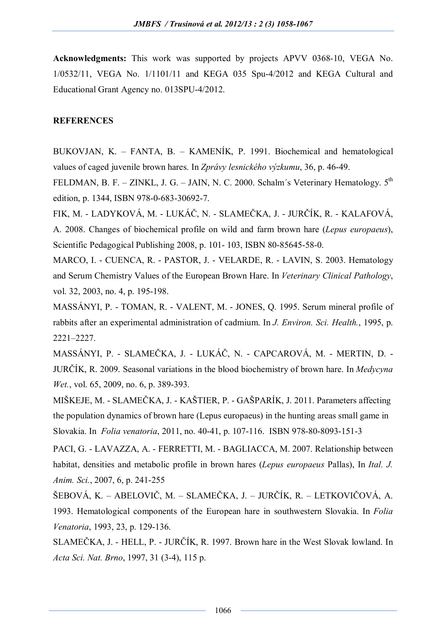**Acknowledgments:** This work was supported by projects APVV 0368-10, VEGA No. 1/0532/11, VEGA No. 1/1101/11 and KEGA 035 Spu-4/2012 and KEGA Cultural and Educational Grant Agency no. 013SPU-4/2012.

## **REFERENCES**

BUKOVJAN, K. – FANTA, B. – KAMENÍK, P. 1991. Biochemical and hematological values of caged juvenile brown hares. In *Zprávy lesnického výzkumu*, 36, p. 46-49.

FELDMAN, B. F. – ZINKL, J. G. – JAIN, N. C. 2000. Schalm's Veterinary Hematology.  $5<sup>th</sup>$ edition, p. 1344, ISBN 978-0-683-30692-7.

FIK, M. - LADYKOVÁ, M. - LUKÁČ, N. - SLAMEČKA, J. - JURČÍK, R. - KALAFOVÁ, A. 2008. Changes of biochemical profile on wild and farm brown hare (*Lepus europaeus*), Scientific Pedagogical Publishing 2008, p. 101- 103, ISBN 80-85645-58-0.

MARCO, I. - CUENCA, R. - PASTOR, J. - VELARDE, R. - LAVIN, S. 2003. Hematology and Serum Chemistry Values of the European Brown Hare. In *Veterinary Clinical Pathology*, vol. 32, 2003, no. 4, p. 195-198.

MASSÁNYI, P. - TOMAN, R. - VALENT, M. - JONES, Q. 1995. Serum mineral profile of rabbits after an experimental administration of cadmium. In *J. Environ. Sci. Health.*, 1995, p. 2221–2227.

MASSÁNYI, P. - SLAMEČKA, J. - LUKÁČ, N. - CAPCAROVÁ, M. - MERTIN, D. - JURČÍK, R. 2009. Seasonal variations in the blood biochemistry of brown hare. In *Medycyna Wet.*, vol. 65, 2009, no. 6, p. 389-393.

MIŠKEJE, M. - SLAMEČKA, J. - KAŠTIER, P. - GAŠPARÍK, J. 2011. Parameters affecting the population dynamics of brown hare (Lepus europaeus) in the hunting areas small game in Slovakia. In *Folia venatoria*, 2011, no. 40-41, p. 107-116. ISBN 978-80-8093-151-3

PACI, G. - LAVAZZA, A. - FERRETTI, M. - BAGLIACCA, M. 2007. Relationship between habitat, densities and metabolic profile in brown hares (*Lepus europaeus* Pallas), In *Ital. J. Anim. Sci.*, 2007, 6, p. 241-255

ŠEBOVÁ, K. – ABELOVIČ, M. – SLAMEČKA, J. – JURČÍK, R. – LETKOVIČOVÁ, A. 1993. Hematological components of the European hare in southwestern Slovakia. In *Folia Venatoria*, 1993, 23, p. 129-136.

SLAMEČKA, J. - HELL, P. - JURČÍK, R. 1997. Brown hare in the West Slovak lowland. In *Acta Sci. Nat. Brno*, 1997, 31 (3-4), 115 p.